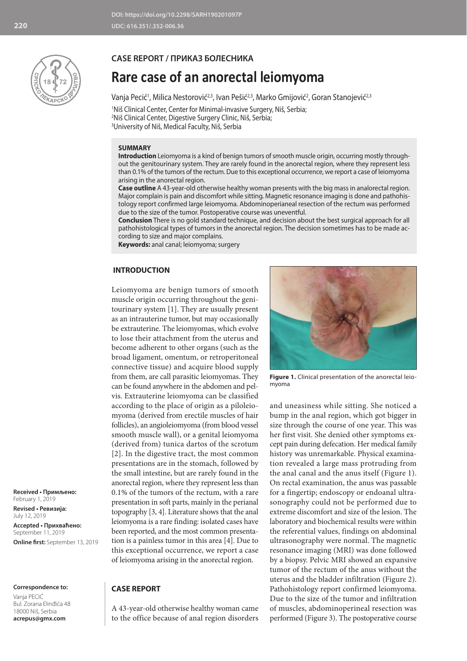

## **CASE REPORT / ПРИКАЗ БОЛЕСНИКА**

# **Rare case of an anorectal leiomyoma**

Vanja Pecić<sup>1</sup>, Milica Nestorović<sup>2,3</sup>, Ivan Pešić<sup>2,3</sup>, Marko Gmijović<sup>2</sup>, Goran Stanojević<sup>2,3</sup>

1 Niš Clinical Center, Center for Minimal-invasive Surgery, Niš, Serbia; 2 Niš Clinical Center, Digestive Surgery Clinic, Niš, Serbia; 3 University of Niš, Medical Faculty, Niš, Serbia

#### **SUMMARY**

**Introduction** Leiomyoma is a kind of benign tumors of smooth muscle origin, occurring mostly throughout the genitourinary system. They are rarely found in the anorectal region, where they represent less than 0.1% of the tumors of the rectum. Due to this exceptional occurrence, we report a case of leiomyoma arising in the anorectal region.

**Case outline** A 43-year-old otherwise healthy woman presents with the big mass in analorectal region. Major complain is pain and discomfort while sitting. Magnetic resonance imaging is done and pathohistology report confirmed large leiomyoma. Abdominoperianeal resection of the rectum was performed due to the size of the tumor. Postoperative course was uneventful.

**Conclusion** There is no gold standard technique, and decision about the best surgical approach for all pathohistological types of tumors in the anorectal region. The decision sometimes has to be made according to size and major complains.

**Keywords:** anal canal; leiomyoma; surgery

## **INTRODUCTION**

Leiomyoma are benign tumors of smooth muscle origin occurring throughout the genitourinary system [1]. They are usually present as an intrauterine tumor, but may occasionally be extrauterine. The leiomyomas, which evolve to lose their attachment from the uterus and become adherent to other organs (such as the broad ligament, omentum, or retroperitoneal connective tissue) and acquire blood supply from them, are call parasitic leiomyomas. They can be found anywhere in the abdomen and pelvis. Extrauterine leiomyoma can be classified according to the place of origin as a piloleiomyoma (derived from erectile muscles of hair follicles), an angioleiomyoma (from blood vessel smooth muscle wall), or a genital leiomyoma (derived from) tunica dartos of the scrotum [2]. In the digestive tract, the most common presentations are in the stomach, followed by the small intestine, but are rarely found in the anorectal region, where they represent less than 0.1% of the tumors of the rectum, with a rare presentation in soft parts, mainly in the perianal topography [3, 4]. Literature shows that the anal leiomyoma is a rare finding: isolated cases have been reported, and the most common presentation is a painless tumor in this area [4]. Due to this exceptional occurrence, we report a case of leiomyoma arising in the anorectal region.



**Figure 1.** Clinical presentation of the anorectal leiomyoma

and uneasiness while sitting. She noticed a bump in the anal region, which got bigger in size through the course of one year. This was her first visit. She denied other symptoms except pain during defecation. Her medical family history was unremarkable. Physical examination revealed a large mass protruding from the anal canal and the anus itself (Figure 1). On rectal examination, the anus was passable for a fingertip; endoscopy or endoanal ultrasonography could not be performed due to extreme discomfort and size of the lesion. The laboratory and biochemical results were within the referential values, findings on abdominal ultrasonography were normal. The magnetic resonance imaging (MRI) was done followed by a biopsy. Pelvic MRI showed an expansive tumor of the rectum of the anus without the uterus and the bladder infiltration (Figure 2). Pathohistology report confirmed leiomyoma. Due to the size of the tumor and infiltration of muscles, abdominoperineal resection was performed (Figure 3). The postoperative course

**Received • Примљено:**  February 1, 2019

**Revised • Ревизија:**  July 12, 2019 **Accepted • Прихваћено:** September 11, 2019 **Online first:** September 13, 2019

#### **Correspondence to:**

Vanja PECIĆ Bul. Zorana Đinđića 48 18000 Niš, Serbia **acrepus@gmx.com**

# **CASE REPORT**

A 43-year-old otherwise healthy woman came to the office because of anal region disorders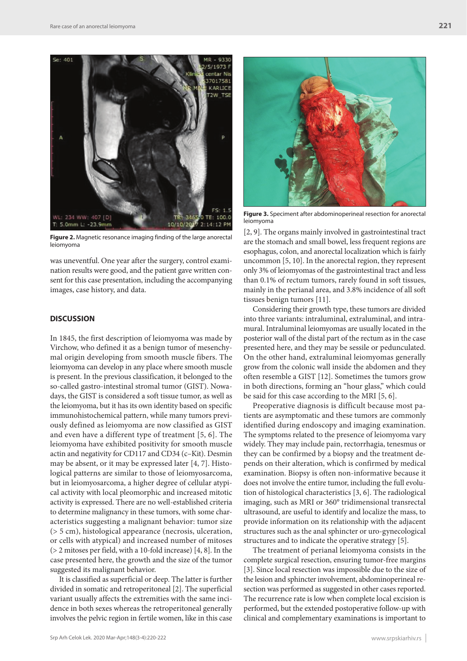

**Figure 2.** Magnetic resonance imaging finding of the large anorectal leiomyoma

was uneventful. One year after the surgery, control examination results were good, and the patient gave written consent for this case presentation, including the accompanying images, case history, and data.

#### **DISCUSSION**

In 1845, the first description of leiomyoma was made by Virchow, who defined it as a benign tumor of mesenchymal origin developing from smooth muscle fibers. The leiomyoma can develop in any place where smooth muscle is present. In the previous classification, it belonged to the so-called gastro-intestinal stromal tumor (GIST). Nowadays, the GIST is considered a soft tissue tumor, as well as the leiomyoma, but it has its own identity based on specific immunohistochemical pattern, while many tumors previously defined as leiomyoma are now classified as GIST and even have a different type of treatment [5, 6]. The leiomyoma have exhibited positivity for smooth muscle actin and negativity for CD117 and CD34 (c–Kit). Desmin may be absent, or it may be expressed later [4, 7]. Histological patterns are similar to those of leiomyosarcoma, but in leiomyosarcoma, a higher degree of cellular atypical activity with local pleomorphic and increased mitotic activity is expressed. There are no well-established criteria to determine malignancy in these tumors, with some characteristics suggesting a malignant behavior: tumor size (> 5 cm), histological appearance (necrosis, ulceration, or cells with atypical) and increased number of mitoses (> 2 mitoses per field, with a 10-fold increase) [4, 8]. In the case presented here, the growth and the size of the tumor suggested its malignant behavior.

It is classified as superficial or deep. The latter is further divided in somatic and retroperitoneal [2]. The superficial variant usually affects the extremities with the same incidence in both sexes whereas the retroperitoneal generally involves the pelvic region in fertile women, like in this case



**Figure 3.** Speciment after abdominoperineal resection for anorectal leiomyoma

[2, 9]. The organs mainly involved in gastrointestinal tract are the stomach and small bowel, less frequent regions are esophagus, colon, and anorectal localization which is fairly uncommon [5, 10]. In the anorectal region, they represent only 3% of leiomyomas of the gastrointestinal tract and less than 0.1% of rectum tumors, rarely found in soft tissues, mainly in the perianal area, and 3.8% incidence of all soft tissues benign tumors [11].

Considering their growth type, these tumors are divided into three variants: intraluminal, extraluminal, and intramural. Intraluminal leiomyomas are usually located in the posterior wall of the distal part of the rectum as in the case presented here, and they may be sessile or pedunculated. On the other hand, extraluminal leiomyomas generally grow from the colonic wall inside the abdomen and they often resemble a GIST [12]. Sometimes the tumors grow in both directions, forming an "hour glass," which could be said for this case according to the MRI [5, 6].

Preoperative diagnosis is difficult because most patients are asymptomatic and these tumors are commonly identified during endoscopy and imaging examination. The symptoms related to the presence of leiomyoma vary widely. They may include pain, rectorrhagia, tenesmus or they can be confirmed by a biopsy and the treatment depends on their alteration, which is confirmed by medical examination. Biopsy is often non-informative because it does not involve the entire tumor, including the full evolution of histological characteristics [3, 6]. The radiological imaging, such as MRI or 360° tridimensional transrectal ultrasound, are useful to identify and localize the mass, to provide information on its relationship with the adjacent structures such as the anal sphincter or uro-gynecological structures and to indicate the operative strategy [5].

The treatment of perianal leiomyoma consists in the complete surgical resection, ensuring tumor-free margins [3]. Since local resection was impossible due to the size of the lesion and sphincter involvement, abdominoperineal resection was performed as suggested in other cases reported. The recurrence rate is low when complete local excision is performed, but the extended postoperative follow-up with clinical and complementary examinations is important to